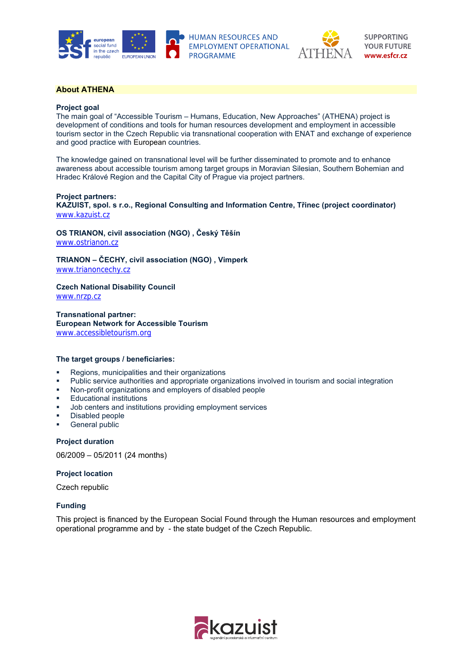



# **About ATHENA**

### **Project goal**

The main goal of "Accessible Tourism – Humans, Education, New Approaches" (ATHENA) project is development of conditions and tools for human resources development and employment in accessible tourism sector in the Czech Republic via transnational cooperation with ENAT and exchange of experience and good practice with European countries.

The knowledge gained on transnational level will be further disseminated to promote and to enhance awareness about accessible tourism among target groups in Moravian Silesian, Southern Bohemian and Hradec Králové Region and the Capital City of Prague via project partners.

### **Project partners:**

**KAZUIST, spol. s r.o., Regional Consulting and Information Centre, Třinec (project coordinator)**  www.kazuist.cz

**OS TRIANON, civil association (NGO) , Český Těšín**  www.ostrianon.cz

**TRIANON – ČECHY, civil association (NGO) , Vimperk** 

www.trianoncechy.cz

**Czech National Disability Council** 

www.nrzp.cz

**Transnational partner: European Network for Accessible Tourism**  www.accessibletourism.org

## **The target groups / beneficiaries:**

- **Regions, municipalities and their organizations**
- Public service authorities and appropriate organizations involved in tourism and social integration
- Non-profit organizations and employers of disabled people
- **Educational institutions**
- Job centers and institutions providing employment services
- Disabled people
- **General public**

**Project duration** 

06/2009 – 05/2011 (24 months)

### **Project location**

Czech republic

## **Funding**

This project is financed by the European Social Found through the Human resources and employment operational programme and by - the state budget of the Czech Republic.